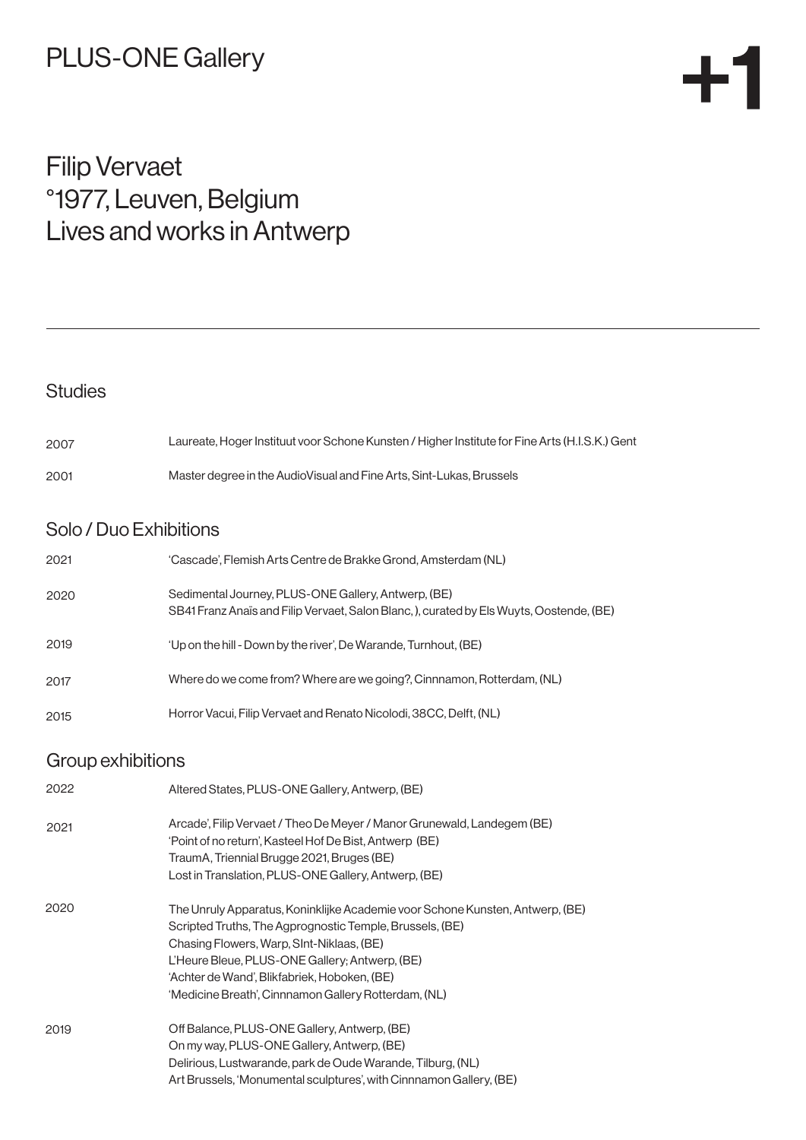## PLUS-ONE Gallery

## Filip Vervaet °1977, Leuven, Belgium Lives and works in Antwerp

## **Studies** Solo / Duo Exhibitions Laureate, Hoger Instituut voor Schone Kunsten / Higher Institute for Fine Arts (H.I.S.K.) Gent Master degree in the AudioVisual and Fine Arts, Sint-Lukas, Brussels 'Cascade', Flemish Arts Centre de Brakke Grond, Amsterdam (NL) Sedimental Journey, PLUS-ONE Gallery, Antwerp, (BE) SB41 Franz Anaïs and Filip Vervaet, Salon Blanc, ), curated by Els Wuyts, Oostende, (BE) 'Up on the hill - Down by the river', De Warande, Turnhout, (BE) Where do we come from? Where are we going?, Cinnnamon, Rotterdam, (NL) Horror Vacui, Filip Vervaet and Renato Nicolodi, 38CC, Delft, (NL) Altered States, PLUS-ONE Gallery, Antwerp, (BE) Arcade', Filip Vervaet / Theo De Meyer / Manor Grunewald, Landegem (BE) 'Point of no return', Kasteel Hof De Bist, Antwerp (BE) TraumA, Triennial Brugge 2021, Bruges (BE) Lost in Translation, PLUS-ONE Gallery, Antwerp, (BE) The Unruly Apparatus, Koninklijke Academie voor Schone Kunsten, Antwerp, (BE) Scripted Truths, The Agprognostic Temple, Brussels, (BE) Chasing Flowers, Warp, SInt-Niklaas, (BE) L'Heure Bleue, PLUS-ONE Gallery; Antwerp, (BE) 'Achter de Wand', Blikfabriek, Hoboken, (BE) 'Medicine Breath', Cinnnamon Gallery Rotterdam, (NL) Off Balance, PLUS-ONE Gallery, Antwerp, (BE) On my way, PLUS-ONE Gallery, Antwerp, (BE) Delirious, Lustwarande, park de Oude Warande, Tilburg, (NL) Art Brussels, 'Monumental sculptures', with Cinnnamon Gallery, (BE) 2001 2017 2015 2007 2019 2019 2020 2020 2021 Group exhibitions 2021 2022